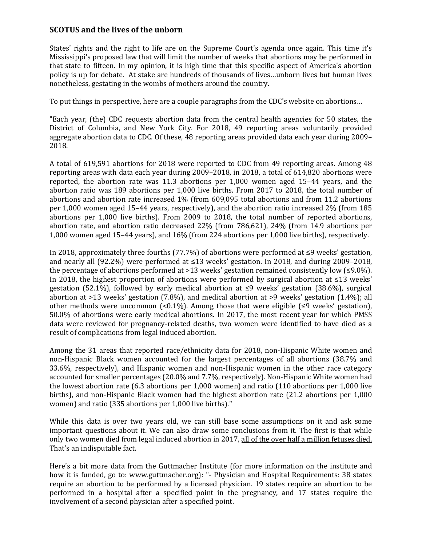## **SCOTUS and the lives of the unborn**

States' rights and the right to life are on the Supreme Court's agenda once again. This time it's Mississippi's proposed law that will limit the number of weeks that abortions may be performed in that state to fifteen. In my opinion, it is high time that this specific aspect of America's abortion policy is up for debate. At stake are hundreds of thousands of lives…unborn lives but human lives nonetheless, gestating in the wombs of mothers around the country.

To put things in perspective, here are a couple paragraphs from the CDC's website on abortions…

"Each year, (the) CDC requests abortion data from the central health agencies for 50 states, the District of Columbia, and New York City. For 2018, 49 reporting areas voluntarily provided aggregate abortion data to CDC. Of these, 48 reporting areas provided data each year during 2009– 2018.

A total of 619,591 abortions for 2018 were reported to CDC from 49 reporting areas. Among 48 reporting areas with data each year during 2009–2018, in 2018, a total of 614,820 abortions were reported, the abortion rate was 11.3 abortions per 1,000 women aged 15–44 years, and the abortion ratio was 189 abortions per 1,000 live births. From 2017 to 2018, the total number of abortions and abortion rate increased 1% (from 609,095 total abortions and from 11.2 abortions per 1,000 women aged 15–44 years, respectively), and the abortion ratio increased 2% (from 185 abortions per 1,000 live births). From 2009 to 2018, the total number of reported abortions, abortion rate, and abortion ratio decreased 22% (from 786,621), 24% (from 14.9 abortions per 1,000 women aged 15–44 years), and 16% (from 224 abortions per 1,000 live births), respectively.

In 2018, approximately three fourths (77.7%) of abortions were performed at  $\leq 9$  weeks' gestation, and nearly all (92.2%) were performed at ≤13 weeks' gestation. In 2018, and during 2009–2018, the percentage of abortions performed at >13 weeks' gestation remained consistently low (≤9.0%). In 2018, the highest proportion of abortions were performed by surgical abortion at  $\leq 13$  weeks' gestation (52.1%), followed by early medical abortion at ≤9 weeks' gestation (38.6%), surgical abortion at >13 weeks' gestation (7.8%), and medical abortion at >9 weeks' gestation (1.4%); all other methods were uncommon  $\left($ <0.1%). Among those that were eligible  $\left($  ≤9 weeks' gestation), 50.0% of abortions were early medical abortions. In 2017, the most recent year for which PMSS data were reviewed for pregnancy-related deaths, two women were identified to have died as a result of complications from legal induced abortion.

Among the 31 areas that reported race/ethnicity data for 2018, non-Hispanic White women and non-Hispanic Black women accounted for the largest percentages of all abortions (38.7% and 33.6%, respectively), and Hispanic women and non-Hispanic women in the other race category accounted for smaller percentages (20.0% and 7.7%, respectively). Non-Hispanic White women had the lowest abortion rate (6.3 abortions per 1,000 women) and ratio (110 abortions per 1,000 live births), and non-Hispanic Black women had the highest abortion rate (21.2 abortions per 1,000 women) and ratio (335 abortions per 1,000 live births)."

While this data is over two years old, we can still base some assumptions on it and ask some important questions about it. We can also draw some conclusions from it. The first is that while only two women died from legal induced abortion in 2017, all of the over half a million fetuses died. That's an indisputable fact.

Here's a bit more data from the Guttmacher Institute (for more information on the institute and how it is funded, go to: www.guttmacher.org): "- Physician and Hospital Requirements: 38 states require an abortion to be performed by a licensed physician. 19 states require an abortion to be performed in a hospital after a specified point in the pregnancy, and 17 states require the involvement of a second physician after a specified point.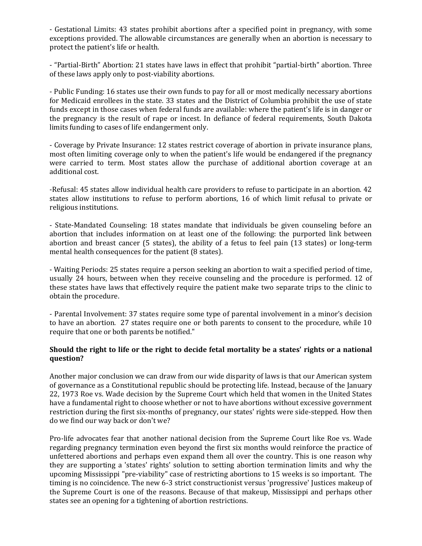- Gestational Limits: 43 states prohibit abortions after a specified point in pregnancy, with some exceptions provided. The allowable circumstances are generally when an abortion is necessary to protect the patient's life or health.

- "Partial-Birth" Abortion: 21 states have laws in effect that prohibit "partial-birth" abortion. Three of these laws apply only to post-viability abortions.

- Public Funding: 16 states use their own funds to pay for all or most medically necessary abortions for Medicaid enrollees in the state. 33 states and the District of Columbia prohibit the use of state funds except in those cases when federal funds are available: where the patient's life is in danger or the pregnancy is the result of rape or incest. In defiance of federal requirements, South Dakota limits funding to cases of life endangerment only.

- Coverage by Private Insurance: 12 states restrict coverage of abortion in private insurance plans, most often limiting coverage only to when the patient's life would be endangered if the pregnancy were carried to term. Most states allow the purchase of additional abortion coverage at an additional cost.

-Refusal: 45 states allow individual health care providers to refuse to participate in an abortion. 42 states allow institutions to refuse to perform abortions, 16 of which limit refusal to private or religious institutions.

- State-Mandated Counseling: 18 states mandate that individuals be given counseling before an abortion that includes information on at least one of the following: the purported link between abortion and breast cancer (5 states), the ability of a fetus to feel pain (13 states) or long-term mental health consequences for the patient (8 states).

- Waiting Periods: 25 states require a person seeking an abortion to wait a specified period of time, usually 24 hours, between when they receive counseling and the procedure is performed. 12 of these states have laws that effectively require the patient make two separate trips to the clinic to obtain the procedure.

- Parental Involvement: 37 states require some type of parental involvement in a minor's decision to have an abortion. 27 states require one or both parents to consent to the procedure, while 10 require that one or both parents be notified."

## **Should the right to life or the right to decide fetal mortality be a states' rights or a national question?**

Another major conclusion we can draw from our wide disparity of laws is that our American system of governance as a Constitutional republic should be protecting life. Instead, because of the January 22, 1973 Roe vs. Wade decision by the Supreme Court which held that women in the United States have a fundamental right to choose whether or not to have abortions without excessive government restriction during the first six-months of pregnancy, our states' rights were side-stepped. How then do we find our way back or don't we?

Pro-life advocates fear that another national decision from the Supreme Court like Roe vs. Wade regarding pregnancy termination even beyond the first six months would reinforce the practice of unfettered abortions and perhaps even expand them all over the country. This is one reason why they are supporting a 'states' rights' solution to setting abortion termination limits and why the upcoming Mississippi "pre-viability" case of restricting abortions to 15 weeks is so important. The timing is no coincidence. The new 6-3 strict constructionist versus 'progressive' Justices makeup of the Supreme Court is one of the reasons. Because of that makeup, Mississippi and perhaps other states see an opening for a tightening of abortion restrictions.